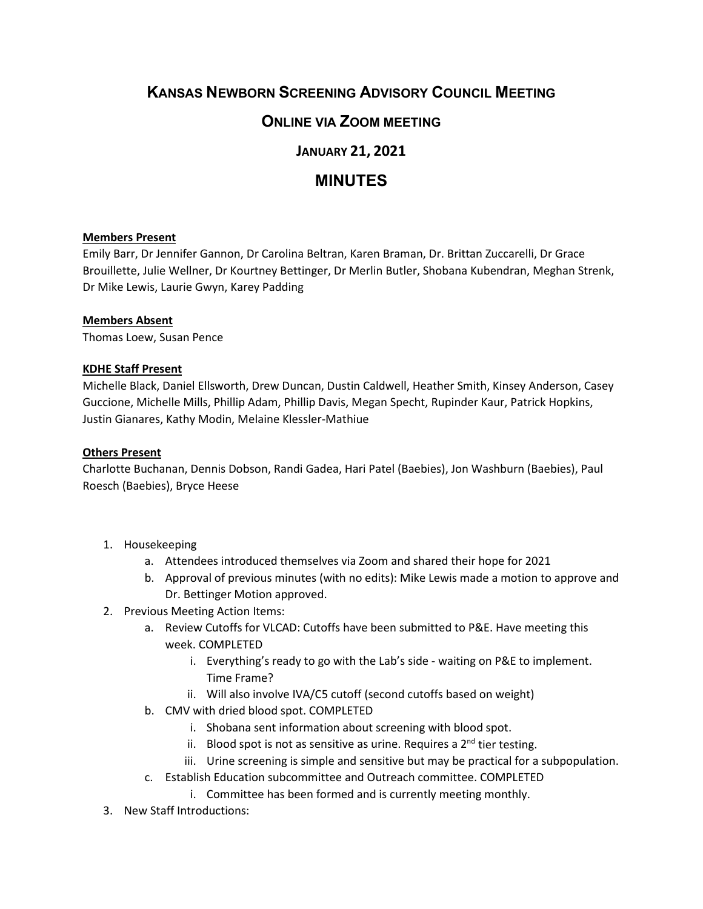# **KANSAS NEWBORN SCREENING ADVISORY COUNCIL MEETING**

## **ONLINE VIA ZOOM MEETING**

### **JANUARY 21, 2021**

## **MINUTES**

#### **Members Present**

Emily Barr, Dr Jennifer Gannon, Dr Carolina Beltran, Karen Braman, Dr. Brittan Zuccarelli, Dr Grace Brouillette, Julie Wellner, Dr Kourtney Bettinger, Dr Merlin Butler, Shobana Kubendran, Meghan Strenk, Dr Mike Lewis, Laurie Gwyn, Karey Padding

#### **Members Absent**

Thomas Loew, Susan Pence

#### **KDHE Staff Present**

Michelle Black, Daniel Ellsworth, Drew Duncan, Dustin Caldwell, Heather Smith, Kinsey Anderson, Casey Guccione, Michelle Mills, Phillip Adam, Phillip Davis, Megan Specht, Rupinder Kaur, Patrick Hopkins, Justin Gianares, Kathy Modin, Melaine Klessler-Mathiue

#### **Others Present**

Charlotte Buchanan, Dennis Dobson, Randi Gadea, Hari Patel (Baebies), Jon Washburn (Baebies), Paul Roesch (Baebies), Bryce Heese

- 1. Housekeeping
	- a. Attendees introduced themselves via Zoom and shared their hope for 2021
	- b. Approval of previous minutes (with no edits): Mike Lewis made a motion to approve and Dr. Bettinger Motion approved.
- 2. Previous Meeting Action Items:
	- a. Review Cutoffs for VLCAD: Cutoffs have been submitted to P&E. Have meeting this week. COMPLETED
		- i. Everything's ready to go with the Lab's side waiting on P&E to implement. Time Frame?
		- ii. Will also involve IVA/C5 cutoff (second cutoffs based on weight)
	- b. CMV with dried blood spot. COMPLETED
		- i. Shobana sent information about screening with blood spot.
		- ii. Blood spot is not as sensitive as urine. Requires a  $2^{nd}$  tier testing.
		- iii. Urine screening is simple and sensitive but may be practical for a subpopulation.
	- c. Establish Education subcommittee and Outreach committee. COMPLETED
		- i. Committee has been formed and is currently meeting monthly.
- 3. New Staff Introductions: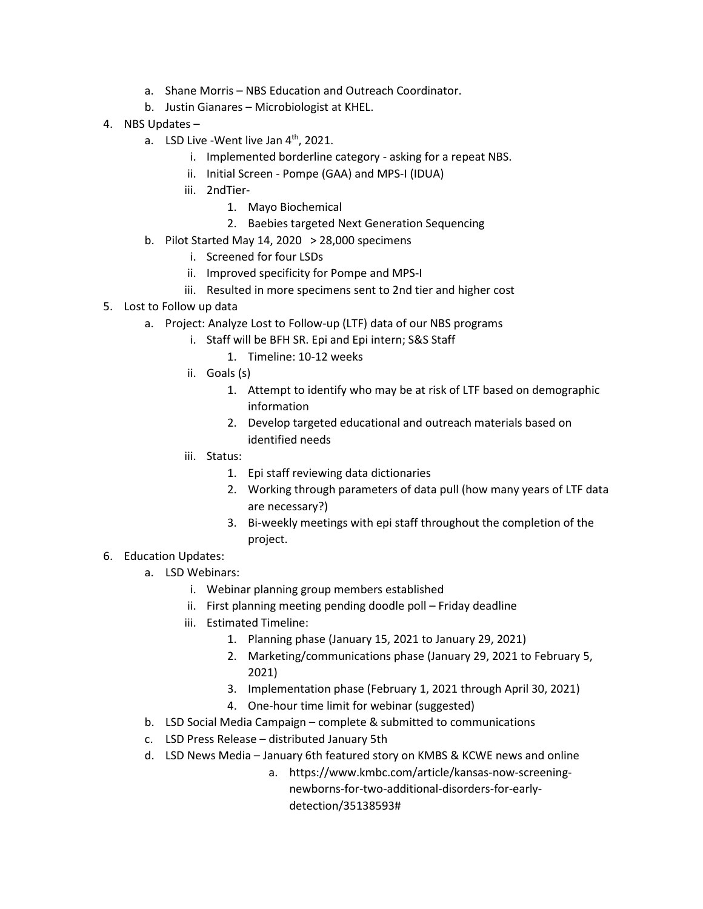- a. Shane Morris NBS Education and Outreach Coordinator.
- b. Justin Gianares Microbiologist at KHEL.
- 4. NBS Updates
	- a. LSD Live -Went live Jan  $4<sup>th</sup>$ , 2021.
		- i. Implemented borderline category asking for a repeat NBS.
		- ii. Initial Screen Pompe (GAA) and MPS-I (IDUA)
		- iii. 2ndTier-
			- 1. Mayo Biochemical
			- 2. Baebies targeted Next Generation Sequencing
	- b. Pilot Started May 14, 2020  $> 28,000$  specimens
		- i. Screened for four LSDs
		- ii. Improved specificity for Pompe and MPS-I
		- iii. Resulted in more specimens sent to 2nd tier and higher cost
- 5. Lost to Follow up data
	- a. Project: Analyze Lost to Follow-up (LTF) data of our NBS programs
		- i. Staff will be BFH SR. Epi and Epi intern; S&S Staff
			- 1. Timeline: 10-12 weeks
		- ii. Goals (s)
			- 1. Attempt to identify who may be at risk of LTF based on demographic information
			- 2. Develop targeted educational and outreach materials based on identified needs
		- iii. Status:
			- 1. Epi staff reviewing data dictionaries
			- 2. Working through parameters of data pull (how many years of LTF data are necessary?)
			- 3. Bi-weekly meetings with epi staff throughout the completion of the project.
- 6. Education Updates:
	- a. LSD Webinars:
		- i. Webinar planning group members established
		- ii. First planning meeting pending doodle poll Friday deadline
		- iii. Estimated Timeline:
			- 1. Planning phase (January 15, 2021 to January 29, 2021)
			- 2. Marketing/communications phase (January 29, 2021 to February 5, 2021)
			- 3. Implementation phase (February 1, 2021 through April 30, 2021)
			- 4. One-hour time limit for webinar (suggested)
	- b. LSD Social Media Campaign complete & submitted to communications
	- c. LSD Press Release distributed January 5th
	- d. LSD News Media January 6th featured story on KMBS & KCWE news and online

a. https://www.kmbc.com/article/kansas-now-screeningnewborns-for-two-additional-disorders-for-earlydetection/35138593#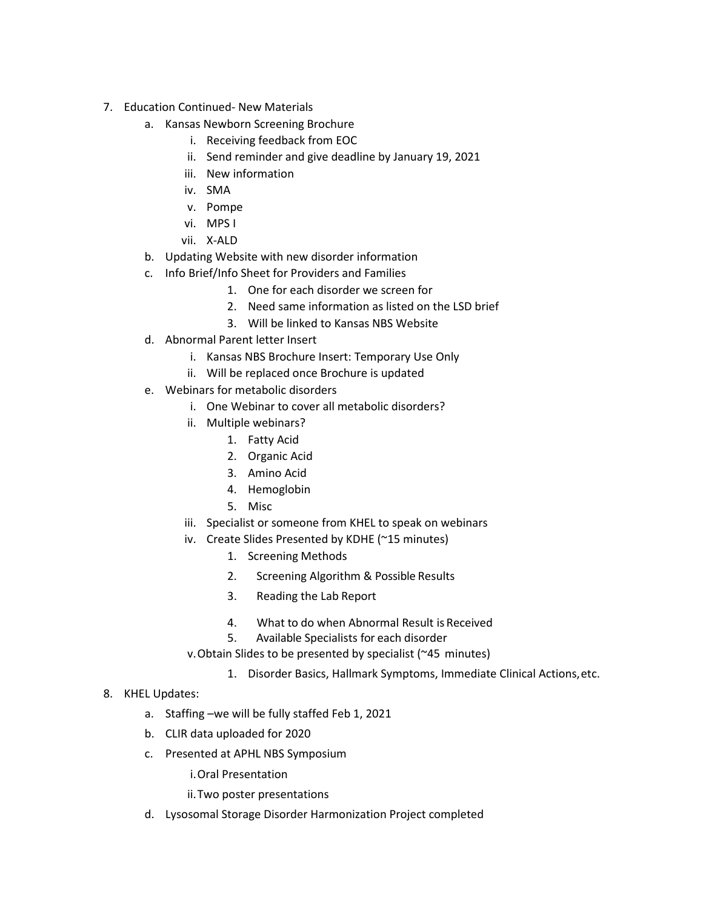- 7. Education Continued- New Materials
	- a. Kansas Newborn Screening Brochure
		- i. Receiving feedback from EOC
		- ii. Send reminder and give deadline by January 19, 2021
		- iii. New information
		- iv. SMA
		- v. Pompe
		- vi. MPS I
		- vii. X-ALD
	- b. Updating Website with new disorder information
	- c. Info Brief/Info Sheet for Providers and Families
		- 1. One for each disorder we screen for
		- 2. Need same information as listed on the LSD brief
		- 3. Will be linked to Kansas NBS Website
	- d. Abnormal Parent letter Insert
		- i. Kansas NBS Brochure Insert: Temporary Use Only
		- ii. Will be replaced once Brochure is updated
	- e. Webinars for metabolic disorders
		- i. One Webinar to cover all metabolic disorders?
		- ii. Multiple webinars?
			- 1. Fatty Acid
			- 2. Organic Acid
			- 3. Amino Acid
			- 4. Hemoglobin
			- 5. Misc
		- iii. Specialist or someone from KHEL to speak on webinars
		- iv. Create Slides Presented by KDHE (~15 minutes)
			- 1. Screening Methods
			- 2. Screening Algorithm & Possible Results
			- 3. Reading the Lab Report
			- 4. What to do when Abnormal Result is Received
			- 5. Available Specialists for each disorder

v.Obtain Slides to be presented by specialist (~45 minutes)

- 1. Disorder Basics, Hallmark Symptoms, Immediate Clinical Actions,etc.
- 8. KHEL Updates:
	- a. Staffing –we will be fully staffed Feb 1, 2021
	- b. CLIR data uploaded for 2020
	- c. Presented at APHL NBS Symposium

i.Oral Presentation

- ii.Two poster presentations
- d. Lysosomal Storage Disorder Harmonization Project completed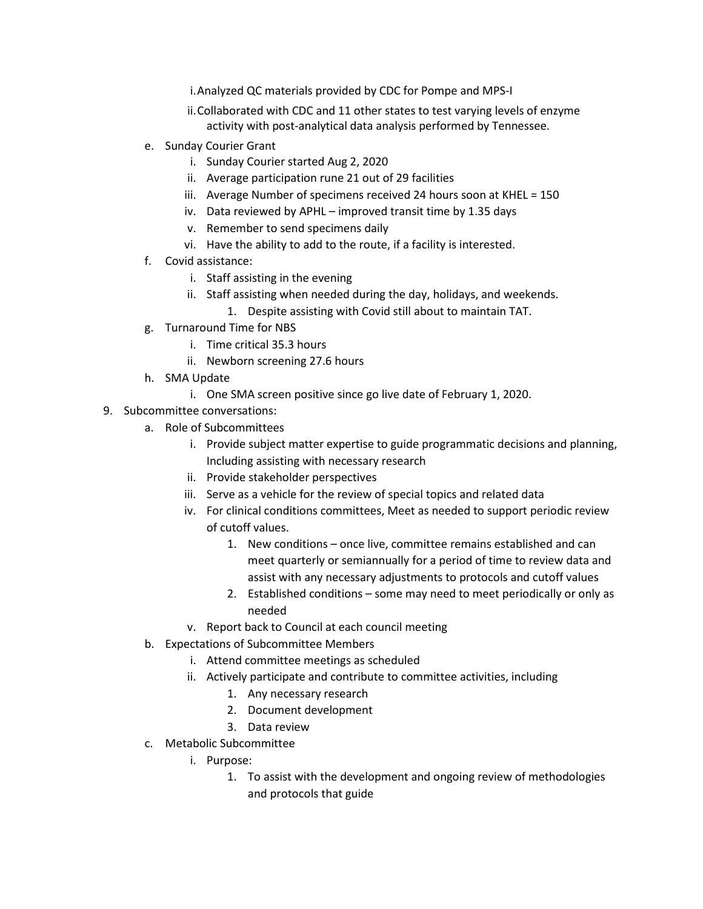i.Analyzed QC materials provided by CDC for Pompe and MPS-I

- ii.Collaborated with CDC and 11 other states to test varying levels of enzyme activity with post-analytical data analysis performed by Tennessee.
- e. Sunday Courier Grant
	- i. Sunday Courier started Aug 2, 2020
	- ii. Average participation rune 21 out of 29 facilities
	- iii. Average Number of specimens received 24 hours soon at KHEL = 150
	- iv. Data reviewed by APHL improved transit time by 1.35 days
	- v. Remember to send specimens daily
	- vi. Have the ability to add to the route, if a facility is interested.
- f. Covid assistance:
	- i. Staff assisting in the evening
	- ii. Staff assisting when needed during the day, holidays, and weekends.
		- 1. Despite assisting with Covid still about to maintain TAT.
- g. Turnaround Time for NBS
	- i. Time critical 35.3 hours
	- ii. Newborn screening 27.6 hours
- h. SMA Update
	- i. One SMA screen positive since go live date of February 1, 2020.
- 9. Subcommittee conversations:
	- a. Role of Subcommittees
		- i. Provide subject matter expertise to guide programmatic decisions and planning, Including assisting with necessary research
		- ii. Provide stakeholder perspectives
		- iii. Serve as a vehicle for the review of special topics and related data
		- iv. For clinical conditions committees, Meet as needed to support periodic review of cutoff values.
			- 1. New conditions once live, committee remains established and can meet quarterly or semiannually for a period of time to review data and assist with any necessary adjustments to protocols and cutoff values
			- 2. Established conditions some may need to meet periodically or only as needed
		- v. Report back to Council at each council meeting
	- b. Expectations of Subcommittee Members
		- i. Attend committee meetings as scheduled
		- ii. Actively participate and contribute to committee activities, including
			- 1. Any necessary research
			- 2. Document development
			- 3. Data review
	- c. Metabolic Subcommittee
		- i. Purpose:
			- 1. To assist with the development and ongoing review of methodologies and protocols that guide